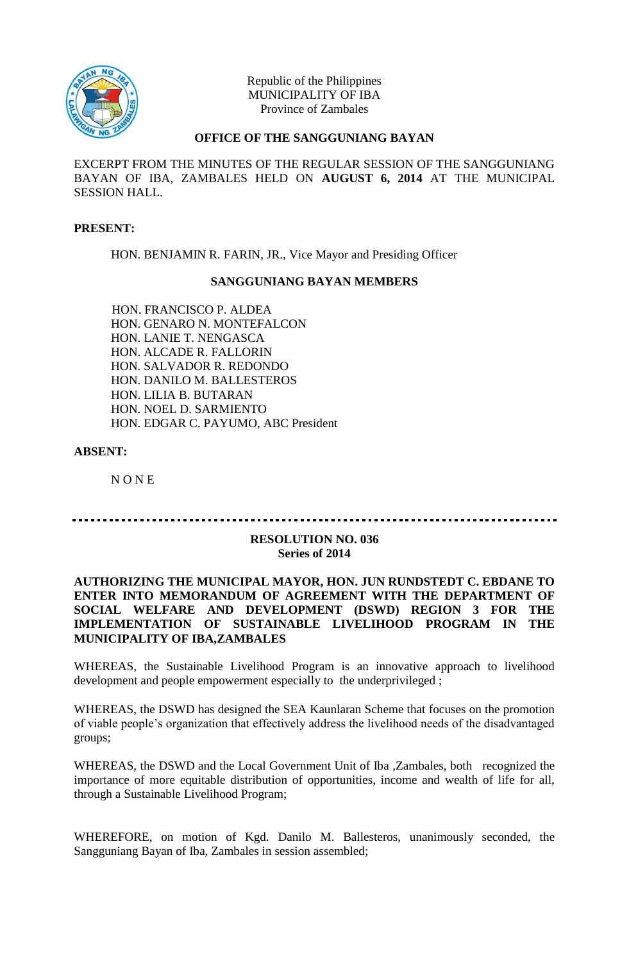

Republic of the Philippines MUNICIPALITY OF IBA Province of Zambales

# **OFFICE OF THE SANGGUNIANG BAYAN**

EXCERPT FROM THE MINUTES OF THE REGULAR SESSION OF THE SANGGUNIANG BAYAN OF IBA, ZAMBALES HELD ON **AUGUST 6, 2014** AT THE MUNICIPAL SESSION HALL.

#### **PRESENT:**

HON. BENJAMIN R. FARIN, JR., Vice Mayor and Presiding Officer

#### **SANGGUNIANG BAYAN MEMBERS**

HON. FRANCISCO P. ALDEA HON. GENARO N. MONTEFALCON HON. LANIE T. NENGASCA HON. ALCADE R. FALLORIN HON. SALVADOR R. REDONDO HON. DANILO M. BALLESTEROS HON. LILIA B. BUTARAN HON. NOEL D. SARMIENTO HON. EDGAR C. PAYUMO, ABC President

# **ABSENT:**

N O N E

#### **RESOLUTION NO. 036 Series of 2014**

# **AUTHORIZING THE MUNICIPAL MAYOR, HON. JUN RUNDSTEDT C. EBDANE TO ENTER INTO MEMORANDUM OF AGREEMENT WITH THE DEPARTMENT OF SOCIAL WELFARE AND DEVELOPMENT (DSWD) REGION 3 FOR THE IMPLEMENTATION OF SUSTAINABLE LIVELIHOOD PROGRAM IN THE MUNICIPALITY OF IBA,ZAMBALES**

WHEREAS, the Sustainable Livelihood Program is an innovative approach to livelihood development and people empowerment especially to the underprivileged ;

WHEREAS, the DSWD has designed the SEA Kaunlaran Scheme that focuses on the promotion of viable people's organization that effectively address the livelihood needs of the disadvantaged groups;

WHEREAS, the DSWD and the Local Government Unit of Iba ,Zambales, both recognized the importance of more equitable distribution of opportunities, income and wealth of life for all, through a Sustainable Livelihood Program;

WHEREFORE, on motion of Kgd. Danilo M. Ballesteros, unanimously seconded, the Sangguniang Bayan of Iba, Zambales in session assembled;